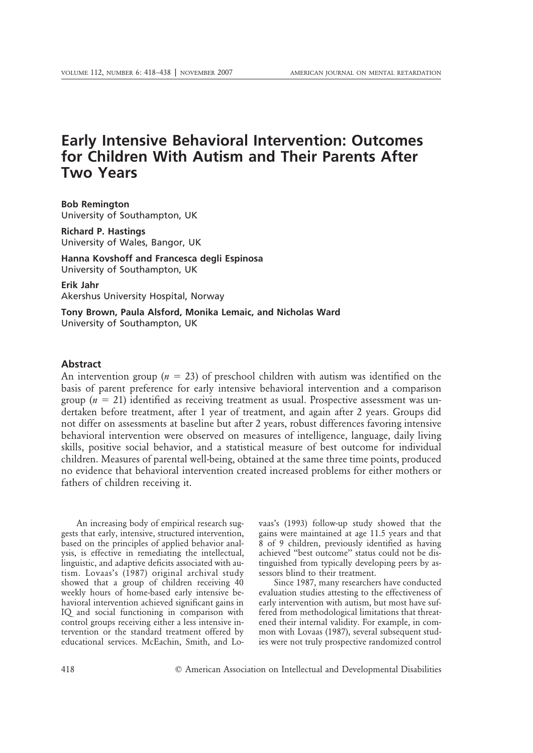# **Early Intensive Behavioral Intervention: Outcomes for Children With Autism and Their Parents After Two Years**

**Bob Remington** University of Southampton, UK

**Richard P. Hastings** University of Wales, Bangor, UK

**Hanna Kovshoff and Francesca degli Espinosa** University of Southampton, UK

**Erik Jahr** Akershus University Hospital, Norway

**Tony Brown, Paula Alsford, Monika Lemaic, and Nicholas Ward** University of Southampton, UK

#### **Abstract**

An intervention group ( $n = 23$ ) of preschool children with autism was identified on the basis of parent preference for early intensive behavioral intervention and a comparison group ( $n = 21$ ) identified as receiving treatment as usual. Prospective assessment was undertaken before treatment, after 1 year of treatment, and again after 2 years. Groups did not differ on assessments at baseline but after 2 years, robust differences favoring intensive behavioral intervention were observed on measures of intelligence, language, daily living skills, positive social behavior, and a statistical measure of best outcome for individual children. Measures of parental well-being, obtained at the same three time points, produced no evidence that behavioral intervention created increased problems for either mothers or fathers of children receiving it.

An increasing body of empirical research suggests that early, intensive, structured intervention, based on the principles of applied behavior analysis, is effective in remediating the intellectual, linguistic, and adaptive deficits associated with autism. Lovaas's (1987) original archival study showed that a group of children receiving 40 weekly hours of home-based early intensive behavioral intervention achieved significant gains in IQ and social functioning in comparison with control groups receiving either a less intensive intervention or the standard treatment offered by educational services. McEachin, Smith, and Lovaas's (1993) follow-up study showed that the gains were maintained at age 11.5 years and that 8 of 9 children, previously identified as having achieved ''best outcome'' status could not be distinguished from typically developing peers by assessors blind to their treatment.

Since 1987, many researchers have conducted evaluation studies attesting to the effectiveness of early intervention with autism, but most have suffered from methodological limitations that threatened their internal validity. For example, in common with Lovaas (1987), several subsequent studies were not truly prospective randomized control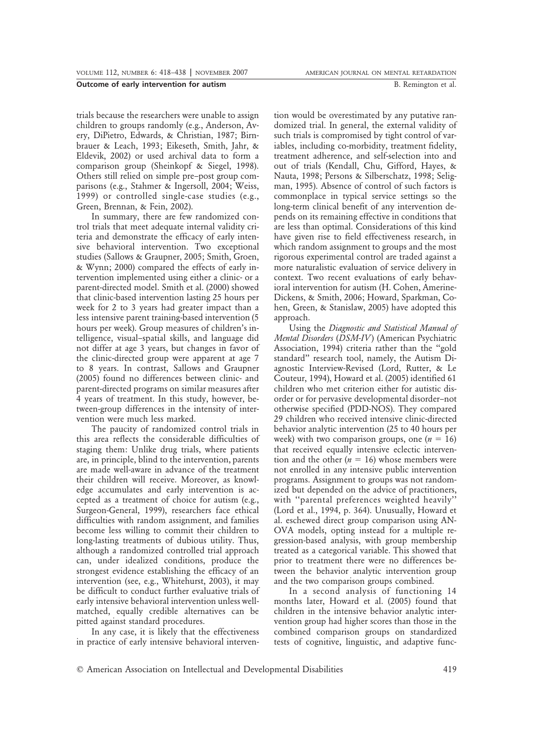trials because the researchers were unable to assign children to groups randomly (e.g., Anderson, Avery, DiPietro, Edwards, & Christian, 1987; Birnbrauer & Leach, 1993; Eikeseth, Smith, Jahr, & Eldevik, 2002) or used archival data to form a comparison group (Sheinkopf & Siegel, 1998). Others still relied on simple pre–post group comparisons (e.g., Stahmer & Ingersoll, 2004; Weiss, 1999) or controlled single-case studies (e.g., Green, Brennan, & Fein, 2002).

In summary, there are few randomized control trials that meet adequate internal validity criteria and demonstrate the efficacy of early intensive behavioral intervention. Two exceptional studies (Sallows & Graupner, 2005; Smith, Groen, & Wynn; 2000) compared the effects of early intervention implemented using either a clinic- or a parent-directed model. Smith et al. (2000) showed that clinic-based intervention lasting 25 hours per week for 2 to 3 years had greater impact than a less intensive parent training-based intervention (5 hours per week). Group measures of children's intelligence, visual–spatial skills, and language did not differ at age 3 years, but changes in favor of the clinic-directed group were apparent at age 7 to 8 years. In contrast, Sallows and Graupner (2005) found no differences between clinic- and parent-directed programs on similar measures after 4 years of treatment. In this study, however, between-group differences in the intensity of intervention were much less marked.

The paucity of randomized control trials in this area reflects the considerable difficulties of staging them: Unlike drug trials, where patients are, in principle, blind to the intervention, parents are made well-aware in advance of the treatment their children will receive. Moreover, as knowledge accumulates and early intervention is accepted as a treatment of choice for autism (e.g., Surgeon-General, 1999), researchers face ethical difficulties with random assignment, and families become less willing to commit their children to long-lasting treatments of dubious utility. Thus, although a randomized controlled trial approach can, under idealized conditions, produce the strongest evidence establishing the efficacy of an intervention (see, e.g., Whitehurst, 2003), it may be difficult to conduct further evaluative trials of early intensive behavioral intervention unless wellmatched, equally credible alternatives can be pitted against standard procedures.

In any case, it is likely that the effectiveness in practice of early intensive behavioral intervention would be overestimated by any putative randomized trial. In general, the external validity of such trials is compromised by tight control of variables, including co-morbidity, treatment fidelity, treatment adherence, and self-selection into and out of trials (Kendall, Chu, Gifford, Hayes, & Nauta, 1998; Persons & Silberschatz, 1998; Seligman, 1995). Absence of control of such factors is commonplace in typical service settings so the long-term clinical benefit of any intervention depends on its remaining effective in conditions that are less than optimal. Considerations of this kind have given rise to field effectiveness research, in which random assignment to groups and the most rigorous experimental control are traded against a more naturalistic evaluation of service delivery in context. Two recent evaluations of early behavioral intervention for autism (H. Cohen, Amerine-Dickens, & Smith, 2006; Howard, Sparkman, Cohen, Green, & Stanislaw, 2005) have adopted this approach.

Using the *Diagnostic and Statistical Manual of Mental Disorders* (*DSM-IV* ) (American Psychiatric Association, 1994) criteria rather than the ''gold standard'' research tool, namely, the Autism Diagnostic Interview-Revised (Lord, Rutter, & Le Couteur, 1994), Howard et al. (2005) identified 61 children who met criterion either for autistic disorder or for pervasive developmental disorder–not otherwise specified (PDD-NOS). They compared 29 children who received intensive clinic-directed behavior analytic intervention (25 to 40 hours per week) with two comparison groups, one  $(n = 16)$ that received equally intensive eclectic intervention and the other  $(n = 16)$  whose members were not enrolled in any intensive public intervention programs. Assignment to groups was not randomized but depended on the advice of practitioners, with ''parental preferences weighted heavily'' (Lord et al., 1994, p. 364). Unusually, Howard et al. eschewed direct group comparison using AN-OVA models, opting instead for a multiple regression-based analysis, with group membership treated as a categorical variable. This showed that prior to treatment there were no differences between the behavior analytic intervention group and the two comparison groups combined.

In a second analysis of functioning 14 months later, Howard et al. (2005) found that children in the intensive behavior analytic intervention group had higher scores than those in the combined comparison groups on standardized tests of cognitive, linguistic, and adaptive func-

<sup>!</sup> American Association on Intellectual and Developmental Disabilities 419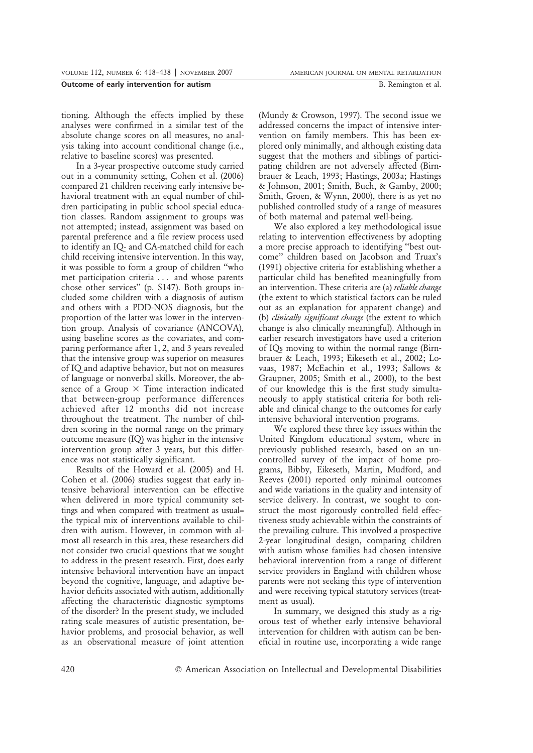tioning. Although the effects implied by these analyses were confirmed in a similar test of the absolute change scores on all measures, no analysis taking into account conditional change (i.e., relative to baseline scores) was presented.

In a 3-year prospective outcome study carried out in a community setting, Cohen et al. (2006) compared 21 children receiving early intensive behavioral treatment with an equal number of children participating in public school special education classes. Random assignment to groups was not attempted; instead, assignment was based on parental preference and a file review process used to identify an IQ- and CA-matched child for each child receiving intensive intervention. In this way, it was possible to form a group of children ''who met participation criteria . . . and whose parents chose other services'' (p. S147). Both groups included some children with a diagnosis of autism and others with a PDD-NOS diagnosis, but the proportion of the latter was lower in the intervention group. Analysis of covariance (ANCOVA), using baseline scores as the covariates, and comparing performance after 1, 2, and 3 years revealed that the intensive group was superior on measures of IQ and adaptive behavior, but not on measures of language or nonverbal skills. Moreover, the absence of a Group  $\times$  Time interaction indicated that between-group performance differences achieved after 12 months did not increase throughout the treatment. The number of children scoring in the normal range on the primary outcome measure (IQ) was higher in the intensive intervention group after 3 years, but this difference was not statistically significant.

Results of the Howard et al. (2005) and H. Cohen et al. (2006) studies suggest that early intensive behavioral intervention can be effective when delivered in more typical community settings and when compared with treatment as usual the typical mix of interventions available to children with autism. However, in common with almost all research in this area, these researchers did not consider two crucial questions that we sought to address in the present research. First, does early intensive behavioral intervention have an impact beyond the cognitive, language, and adaptive behavior deficits associated with autism, additionally affecting the characteristic diagnostic symptoms of the disorder? In the present study, we included rating scale measures of autistic presentation, behavior problems, and prosocial behavior, as well as an observational measure of joint attention (Mundy & Crowson, 1997). The second issue we addressed concerns the impact of intensive intervention on family members. This has been explored only minimally, and although existing data suggest that the mothers and siblings of participating children are not adversely affected (Birnbrauer & Leach, 1993; Hastings, 2003a; Hastings & Johnson, 2001; Smith, Buch, & Gamby, 2000; Smith, Groen, & Wynn, 2000), there is as yet no published controlled study of a range of measures of both maternal and paternal well-being.

We also explored a key methodological issue relating to intervention effectiveness by adopting a more precise approach to identifying ''best outcome'' children based on Jacobson and Truax's (1991) objective criteria for establishing whether a particular child has benefited meaningfully from an intervention. These criteria are (a) *reliable change* (the extent to which statistical factors can be ruled out as an explanation for apparent change) and (b) *clinically significant change* (the extent to which change is also clinically meaningful). Although in earlier research investigators have used a criterion of IQs moving to within the normal range (Birnbrauer & Leach, 1993; Eikeseth et al., 2002; Lovaas, 1987; McEachin et al., 1993; Sallows & Graupner, 2005; Smith et al., 2000), to the best of our knowledge this is the first study simultaneously to apply statistical criteria for both reliable and clinical change to the outcomes for early intensive behavioral intervention programs.

We explored these three key issues within the United Kingdom educational system, where in previously published research, based on an uncontrolled survey of the impact of home programs, Bibby, Eikeseth, Martin, Mudford, and Reeves (2001) reported only minimal outcomes and wide variations in the quality and intensity of service delivery. In contrast, we sought to construct the most rigorously controlled field effectiveness study achievable within the constraints of the prevailing culture. This involved a prospective 2-year longitudinal design, comparing children with autism whose families had chosen intensive behavioral intervention from a range of different service providers in England with children whose parents were not seeking this type of intervention and were receiving typical statutory services (treatment as usual).

In summary, we designed this study as a rigorous test of whether early intensive behavioral intervention for children with autism can be beneficial in routine use, incorporating a wide range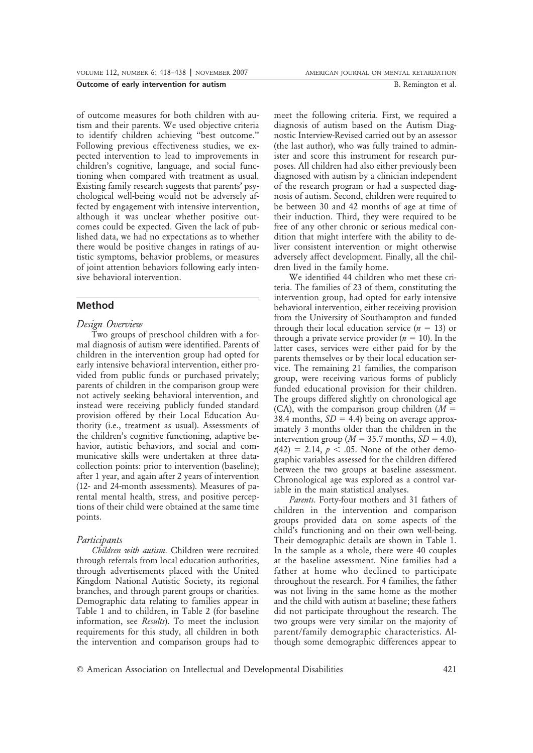of outcome measures for both children with autism and their parents. We used objective criteria to identify children achieving ''best outcome.'' Following previous effectiveness studies, we expected intervention to lead to improvements in children's cognitive, language, and social functioning when compared with treatment as usual. Existing family research suggests that parents' psychological well-being would not be adversely affected by engagement with intensive intervention, although it was unclear whether positive outcomes could be expected. Given the lack of published data, we had no expectations as to whether there would be positive changes in ratings of autistic symptoms, behavior problems, or measures of joint attention behaviors following early intensive behavioral intervention.

## **Method**

#### *Design Overview*

Two groups of preschool children with a formal diagnosis of autism were identified. Parents of children in the intervention group had opted for early intensive behavioral intervention, either provided from public funds or purchased privately; parents of children in the comparison group were not actively seeking behavioral intervention, and instead were receiving publicly funded standard provision offered by their Local Education Authority (i.e., treatment as usual). Assessments of the children's cognitive functioning, adaptive behavior, autistic behaviors, and social and communicative skills were undertaken at three datacollection points: prior to intervention (baseline); after 1 year, and again after 2 years of intervention (12- and 24-month assessments). Measures of parental mental health, stress, and positive perceptions of their child were obtained at the same time points.

## *Participants*

*Children with autism.* Children were recruited through referrals from local education authorities, through advertisements placed with the United Kingdom National Autistic Society, its regional branches, and through parent groups or charities. Demographic data relating to families appear in Table 1 and to children, in Table 2 (for baseline information, see *Results*). To meet the inclusion requirements for this study, all children in both the intervention and comparison groups had to meet the following criteria. First, we required a diagnosis of autism based on the Autism Diagnostic Interview-Revised carried out by an assessor (the last author), who was fully trained to administer and score this instrument for research purposes. All children had also either previously been diagnosed with autism by a clinician independent of the research program or had a suspected diagnosis of autism. Second, children were required to be between 30 and 42 months of age at time of their induction. Third, they were required to be free of any other chronic or serious medical condition that might interfere with the ability to deliver consistent intervention or might otherwise adversely affect development. Finally, all the children lived in the family home.

We identified 44 children who met these criteria. The families of 23 of them, constituting the intervention group, had opted for early intensive behavioral intervention, either receiving provision from the University of Southampton and funded through their local education service  $(n = 13)$  or through a private service provider  $(n = 10)$ . In the latter cases, services were either paid for by the parents themselves or by their local education service. The remaining 21 families, the comparison group, were receiving various forms of publicly funded educational provision for their children. The groups differed slightly on chronological age (CA), with the comparison group children  $(M =$ 38.4 months,  $SD = 4.4$ ) being on average approximately 3 months older than the children in the intervention group ( $M = 35.7$  months,  $SD = 4.0$ ),  $t(42) = 2.14, p < .05$ . None of the other demographic variables assessed for the children differed between the two groups at baseline assessment. Chronological age was explored as a control variable in the main statistical analyses.

*Parents.* Forty-four mothers and 31 fathers of children in the intervention and comparison groups provided data on some aspects of the child's functioning and on their own well-being. Their demographic details are shown in Table 1. In the sample as a whole, there were 40 couples at the baseline assessment. Nine families had a father at home who declined to participate throughout the research. For 4 families, the father was not living in the same home as the mother and the child with autism at baseline; these fathers did not participate throughout the research. The two groups were very similar on the majority of parent/family demographic characteristics. Although some demographic differences appear to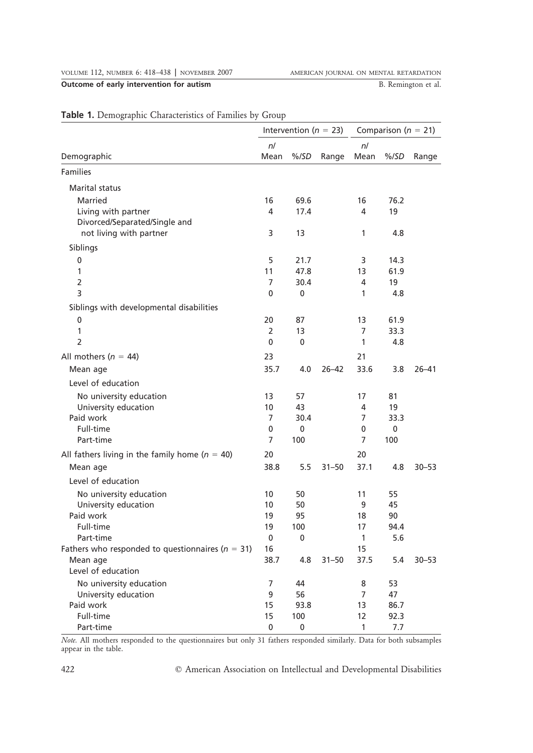# VOLUME 112, NUMBER 6: 418–438 ! NOVEMBER 2007 AMERICAN JOURNAL ON MENTAL RETARDATION

**Outcome of early intervention for autism** B. Remington et al.

| Intervention ( $n = 23$ )                                  | Comparison ( $n = 21$ ) |             |           |  |
|------------------------------------------------------------|-------------------------|-------------|-----------|--|
| n/                                                         | n/                      |             |           |  |
| Demographic<br>Mean<br>$%$ /SD<br>Range                    | Mean                    | $%$ /SD     | Range     |  |
| Families                                                   |                         |             |           |  |
| Marital status                                             |                         |             |           |  |
| Married<br>16<br>69.6                                      | 16                      | 76.2        |           |  |
| 4<br>Living with partner<br>17.4                           | 4                       | 19          |           |  |
| Divorced/Separated/Single and                              |                         |             |           |  |
| not living with partner<br>3<br>13                         | 1                       | 4.8         |           |  |
| Siblings                                                   |                         |             |           |  |
| 21.7<br>0<br>5                                             | 3                       | 14.3        |           |  |
| 11<br>47.8<br>1                                            | 13                      | 61.9        |           |  |
| $\overline{2}$<br>$\overline{7}$<br>30.4                   | 4                       | 19          |           |  |
| 3<br>$\mathbf 0$<br>0                                      | 1                       | 4.8         |           |  |
| Siblings with developmental disabilities                   |                         |             |           |  |
| $\pmb{0}$<br>20<br>87                                      | 13                      | 61.9        |           |  |
| $\overline{2}$<br>1<br>13                                  | $\overline{7}$          | 33.3        |           |  |
| $\overline{2}$<br>$\mathbf 0$<br>0                         | 1                       | 4.8         |           |  |
| All mothers ( $n = 44$ )<br>23                             | 21                      |             |           |  |
| Mean age<br>35.7<br>4.0<br>$26 - 42$                       | 33.6                    | 3.8         | $26 - 41$ |  |
| Level of education                                         |                         |             |           |  |
| No university education<br>13<br>57                        | 17                      | 81          |           |  |
| University education<br>10<br>43                           | $\overline{4}$          | 19          |           |  |
| Paid work<br>$\overline{7}$<br>30.4                        | 7                       | 33.3        |           |  |
| Full-time<br>0<br>0                                        | 0                       | $\mathbf 0$ |           |  |
| Part-time<br>7<br>100                                      | 7                       | 100         |           |  |
| All fathers living in the family home ( $n = 40$ )<br>20   | 20                      |             |           |  |
| Mean age<br>38.8<br>5.5<br>$31 - 50$                       | 37.1                    | 4.8         | $30 - 53$ |  |
| Level of education                                         |                         |             |           |  |
| No university education<br>10<br>50                        | 11                      | 55          |           |  |
| University education<br>50<br>10                           | 9                       | 45          |           |  |
| Paid work<br>95<br>19                                      | 18                      | 90          |           |  |
| Full-time<br>19<br>100                                     | 17                      | 94.4        |           |  |
| Part-time<br>0<br>0                                        | 1                       | 5.6         |           |  |
| Fathers who responded to questionnaires ( $n = 31$ )<br>16 | 15                      |             |           |  |
| 38.7<br>4.8<br>$31 - 50$<br>Mean age                       | 37.5                    | 5.4         | $30 - 53$ |  |
| Level of education                                         |                         |             |           |  |
| No university education<br>44<br>7                         | 8                       | 53          |           |  |
| University education<br>9<br>56<br>Paid work               | 7                       | 47<br>86.7  |           |  |
| 15<br>93.8<br>Full-time<br>15<br>100                       | 13<br>12                | 92.3        |           |  |
| Part-time<br>$\pmb{0}$<br>0                                | 1                       | 7.7         |           |  |

# **Table 1.** Demographic Characteristics of Families by Group

*Note.* All mothers responded to the questionnaires but only 31 fathers responded similarly. Data for both subsamples appear in the table.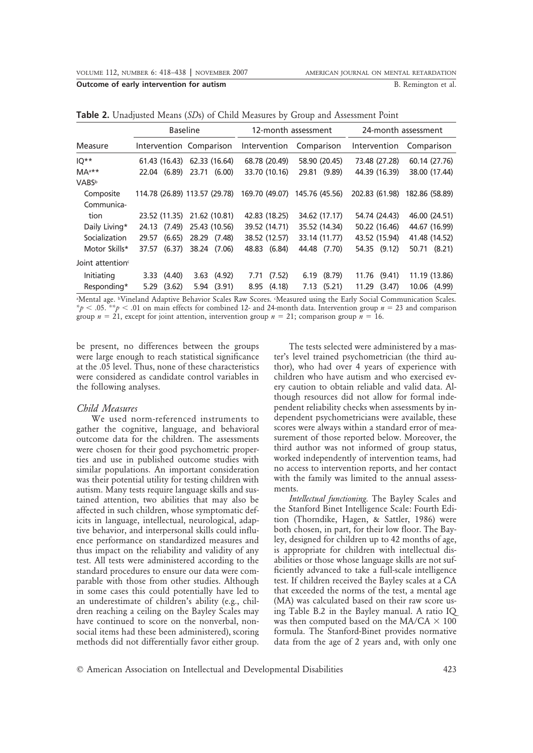|                              | <b>Baseline</b> |                               |               | 12-month assessment           | 24-month assessment |                |  |  |
|------------------------------|-----------------|-------------------------------|---------------|-------------------------------|---------------------|----------------|--|--|
| Measure                      |                 | Intervention Comparison       | Intervention  | Comparison                    | Intervention        | Comparison     |  |  |
| $10**$                       |                 | 61.43 (16.43) 62.33 (16.64)   | 68.78 (20.49) | 58.90 (20.45)                 | 73.48 (27.28)       | 60.14 (27.76)  |  |  |
| $MA$ <sup>a**</sup>          |                 | 22.04 (6.89) 23.71 (6.00)     | 33.70 (10.16) | (9.89)<br>29.81               | 44.39 (16.39)       | 38.00 (17.44)  |  |  |
| <b>VABS</b> <sup>b</sup>     |                 |                               |               |                               |                     |                |  |  |
| Composite                    |                 | 114.78 (26.89) 113.57 (29.78) |               | 169.70 (49.07) 145.76 (45.56) | 202.83 (61.98)      | 182.86 (58.89) |  |  |
| Communica-                   |                 |                               |               |                               |                     |                |  |  |
| tion                         |                 | 23.52 (11.35) 21.62 (10.81)   | 42.83 (18.25) | 34.62 (17.17)                 | 54.74 (24.43)       | 46.00 (24.51)  |  |  |
| Daily Living*                | 24.13 (7.49)    | 25.43 (10.56)                 | 39.52 (14.71) | 35.52 (14.34)                 | 50.22 (16.46)       | 44.67 (16.99)  |  |  |
| Socialization                | (6.65)<br>29.57 | 28.29 (7.48)                  | 38.52 (12.57) | 33.14 (11.77)                 | 43.52 (15.94)       | 41.48 (14.52)  |  |  |
| Motor Skills*                | (6.37)<br>37.57 | 38.24 (7.06)                  | 48.83 (6.84)  | 44.48 (7.70)                  | 54.35 (9.12)        | 50.71 (8.21)   |  |  |
| Joint attention <sup>c</sup> |                 |                               |               |                               |                     |                |  |  |
| Initiating                   | 3.33(4.40)      | $3.63$ $(4.92)$               | 7.71(7.52)    | $6.19$ $(8.79)$               | 11.76 (9.41)        | 11.19 (13.86)  |  |  |
| Responding*                  | (3.62)<br>5.29  | 5.94 (3.91)                   | 8.95 (4.18)   | (5.21)<br>7.13                | $11.29$ $(3.47)$    | 10.06 (4.99)   |  |  |
|                              |                 |                               |               |                               |                     |                |  |  |

**Table 2.** Unadjusted Means (*SD*s) of Child Measures by Group and Assessment Point

a Mental age. <sup>b</sup> Vineland Adaptive Behavior Scales Raw Scores. <sup>c</sup> Measured using the Early Social Communication Scales.  $*p < .05.$  \*\* $p < .01$  on main effects for combined 12- and 24-month data. Intervention group  $n = 23$  and comparison group  $n = 21$ , except for joint attention, intervention group  $n = 21$ ; comparison group  $n = 16$ .

be present, no differences between the groups were large enough to reach statistical significance at the .05 level. Thus, none of these characteristics were considered as candidate control variables in the following analyses.

#### *Child Measures*

We used norm-referenced instruments to gather the cognitive, language, and behavioral outcome data for the children. The assessments were chosen for their good psychometric properties and use in published outcome studies with similar populations. An important consideration was their potential utility for testing children with autism. Many tests require language skills and sustained attention, two abilities that may also be affected in such children, whose symptomatic deficits in language, intellectual, neurological, adaptive behavior, and interpersonal skills could influence performance on standardized measures and thus impact on the reliability and validity of any test. All tests were administered according to the standard procedures to ensure our data were comparable with those from other studies. Although in some cases this could potentially have led to an underestimate of children's ability (e.g., children reaching a ceiling on the Bayley Scales may have continued to score on the nonverbal, nonsocial items had these been administered), scoring methods did not differentially favor either group.

The tests selected were administered by a master's level trained psychometrician (the third author), who had over 4 years of experience with children who have autism and who exercised every caution to obtain reliable and valid data. Although resources did not allow for formal independent reliability checks when assessments by independent psychometricians were available, these scores were always within a standard error of measurement of those reported below. Moreover, the third author was not informed of group status, worked independently of intervention teams, had no access to intervention reports, and her contact with the family was limited to the annual assessments.

*Intellectual functioning.* The Bayley Scales and the Stanford Binet Intelligence Scale: Fourth Edition (Thorndike, Hagen, & Sattler, 1986) were both chosen, in part, for their low floor. The Bayley, designed for children up to 42 months of age, is appropriate for children with intellectual disabilities or those whose language skills are not sufficiently advanced to take a full-scale intelligence test. If children received the Bayley scales at a CA that exceeded the norms of the test, a mental age (MA) was calculated based on their raw score using Table B.2 in the Bayley manual. A ratio IQ was then computed based on the MA/CA  $\times$  100 formula. The Stanford-Binet provides normative data from the age of 2 years and, with only one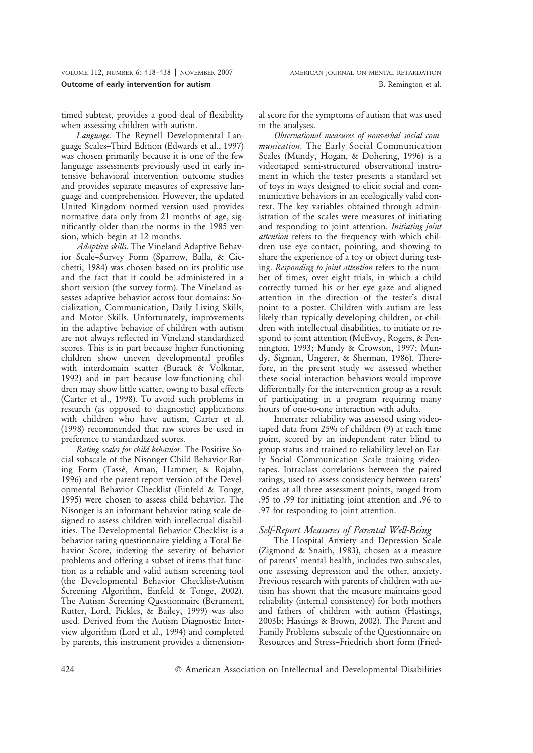timed subtest, provides a good deal of flexibility when assessing children with autism.

*Language.* The Reynell Developmental Language Scales–Third Edition (Edwards et al., 1997) was chosen primarily because it is one of the few language assessments previously used in early intensive behavioral intervention outcome studies and provides separate measures of expressive language and comprehension. However, the updated United Kingdom normed version used provides normative data only from 21 months of age, significantly older than the norms in the 1985 version, which begin at 12 months.

*Adaptive skills.* The Vineland Adaptive Behavior Scale–Survey Form (Sparrow, Balla, & Cicchetti, 1984) was chosen based on its prolific use and the fact that it could be administered in a short version (the survey form). The Vineland assesses adaptive behavior across four domains: Socialization, Communication, Daily Living Skills, and Motor Skills. Unfortunately, improvements in the adaptive behavior of children with autism are not always reflected in Vineland standardized scores. This is in part because higher functioning children show uneven developmental profiles with interdomain scatter (Burack & Volkmar, 1992) and in part because low-functioning children may show little scatter, owing to basal effects (Carter et al., 1998). To avoid such problems in research (as opposed to diagnostic) applications with children who have autism, Carter et al. (1998) recommended that raw scores be used in preference to standardized scores.

*Rating scales for child behavior.* The Positive Social subscale of the Nisonger Child Behavior Rating Form (Tassé, Aman, Hammer, & Rojahn, 1996) and the parent report version of the Developmental Behavior Checklist (Einfeld & Tonge, 1995) were chosen to assess child behavior. The Nisonger is an informant behavior rating scale designed to assess children with intellectual disabilities. The Developmental Behavior Checklist is a behavior rating questionnaire yielding a Total Behavior Score, indexing the severity of behavior problems and offering a subset of items that function as a reliable and valid autism screening tool (the Developmental Behavior Checklist-Autism Screening Algorithm, Einfeld & Tonge, 2002). The Autism Screening Questionnaire (Berument, Rutter, Lord, Pickles, & Bailey, 1999) was also used. Derived from the Autism Diagnostic Interview algorithm (Lord et al., 1994) and completed by parents, this instrument provides a dimensional score for the symptoms of autism that was used in the analyses.

*Observational measures of nonverbal social communication.* The Early Social Communication Scales (Mundy, Hogan, & Dohering, 1996) is a videotaped semi-structured observational instrument in which the tester presents a standard set of toys in ways designed to elicit social and communicative behaviors in an ecologically valid context. The key variables obtained through administration of the scales were measures of initiating and responding to joint attention. *Initiating joint attention* refers to the frequency with which children use eye contact, pointing, and showing to share the experience of a toy or object during testing. *Responding to joint attention* refers to the number of times, over eight trials, in which a child correctly turned his or her eye gaze and aligned attention in the direction of the tester's distal point to a poster. Children with autism are less likely than typically developing children, or children with intellectual disabilities, to initiate or respond to joint attention (McEvoy, Rogers, & Pennington, 1993; Mundy & Crowson, 1997; Mundy, Sigman, Ungerer, & Sherman, 1986). Therefore, in the present study we assessed whether these social interaction behaviors would improve differentially for the intervention group as a result of participating in a program requiring many hours of one-to-one interaction with adults.

Interrater reliability was assessed using videotaped data from 25% of children (9) at each time point, scored by an independent rater blind to group status and trained to reliability level on Early Social Communication Scale training videotapes. Intraclass correlations between the paired ratings, used to assess consistency between raters' codes at all three assessment points, ranged from .95 to .99 for initiating joint attention and .96 to .97 for responding to joint attention.

# *Self-Report Measures of Parental Well-Being*

The Hospital Anxiety and Depression Scale (Zigmond & Snaith, 1983), chosen as a measure of parents' mental health, includes two subscales, one assessing depression and the other, anxiety. Previous research with parents of children with autism has shown that the measure maintains good reliability (internal consistency) for both mothers and fathers of children with autism (Hastings, 2003b; Hastings & Brown, 2002). The Parent and Family Problems subscale of the Questionnaire on Resources and Stress–Friedrich short form (Fried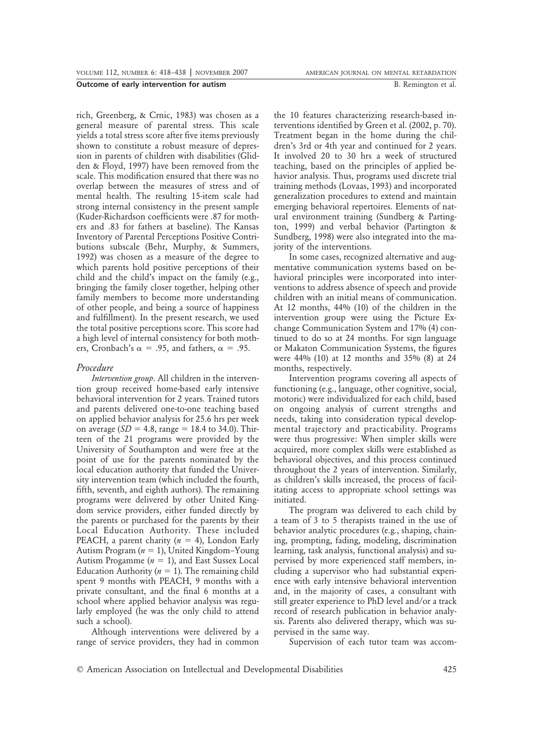rich, Greenberg, & Crnic, 1983) was chosen as a general measure of parental stress. This scale yields a total stress score after five items previously shown to constitute a robust measure of depression in parents of children with disabilities (Glidden & Floyd, 1997) have been removed from the scale. This modification ensured that there was no overlap between the measures of stress and of mental health. The resulting 15-item scale had strong internal consistency in the present sample (Kuder-Richardson coefficients were .87 for mothers and .83 for fathers at baseline). The Kansas Inventory of Parental Perceptions Positive Contributions subscale (Behr, Murphy, & Summers, 1992) was chosen as a measure of the degree to which parents hold positive perceptions of their child and the child's impact on the family (e.g., bringing the family closer together, helping other family members to become more understanding of other people, and being a source of happiness and fulfillment). In the present research, we used the total positive perceptions score. This score had a high level of internal consistency for both mothers, Cronbach's  $\alpha = .95$ , and fathers,  $\alpha = .95$ .

## *Procedure*

*Intervention group.* All children in the intervention group received home-based early intensive behavioral intervention for 2 years. Trained tutors and parents delivered one-to-one teaching based on applied behavior analysis for 25.6 hrs per week on average  $(SD = 4.8, \text{ range} = 18.4 \text{ to } 34.0)$ . Thirteen of the 21 programs were provided by the University of Southampton and were free at the point of use for the parents nominated by the local education authority that funded the University intervention team (which included the fourth, fifth, seventh, and eighth authors). The remaining programs were delivered by other United Kingdom service providers, either funded directly by the parents or purchased for the parents by their Local Education Authority. These included PEACH, a parent charity  $(n = 4)$ , London Early Autism Program  $(n = 1)$ , United Kingdom–Young Autism Progamme ( $n = 1$ ), and East Sussex Local Education Authority ( $n = 1$ ). The remaining child spent 9 months with PEACH, 9 months with a private consultant, and the final 6 months at a school where applied behavior analysis was regularly employed (he was the only child to attend such a school).

Although interventions were delivered by a range of service providers, they had in common the 10 features characterizing research-based interventions identified by Green et al. (2002, p. 70). Treatment began in the home during the children's 3rd or 4th year and continued for 2 years. It involved 20 to 30 hrs a week of structured teaching, based on the principles of applied behavior analysis. Thus, programs used discrete trial training methods (Lovaas, 1993) and incorporated generalization procedures to extend and maintain emerging behavioral repertoires. Elements of natural environment training (Sundberg & Partington, 1999) and verbal behavior (Partington & Sundberg, 1998) were also integrated into the majority of the interventions.

In some cases, recognized alternative and augmentative communication systems based on behavioral principles were incorporated into interventions to address absence of speech and provide children with an initial means of communication. At 12 months, 44% (10) of the children in the intervention group were using the Picture Exchange Communication System and 17% (4) continued to do so at 24 months. For sign language or Makaton Communication Systems, the figures were 44% (10) at 12 months and 35% (8) at 24 months, respectively.

Intervention programs covering all aspects of functioning (e.g., language, other cognitive, social, motoric) were individualized for each child, based on ongoing analysis of current strengths and needs, taking into consideration typical developmental trajectory and practicability. Programs were thus progressive: When simpler skills were acquired, more complex skills were established as behavioral objectives, and this process continued throughout the 2 years of intervention. Similarly, as children's skills increased, the process of facilitating access to appropriate school settings was initiated.

The program was delivered to each child by a team of 3 to 5 therapists trained in the use of behavior analytic procedures (e.g., shaping, chaining, prompting, fading, modeling, discrimination learning, task analysis, functional analysis) and supervised by more experienced staff members, including a supervisor who had substantial experience with early intensive behavioral intervention and, in the majority of cases, a consultant with still greater experience to PhD level and/or a track record of research publication in behavior analysis. Parents also delivered therapy, which was supervised in the same way.

Supervision of each tutor team was accom-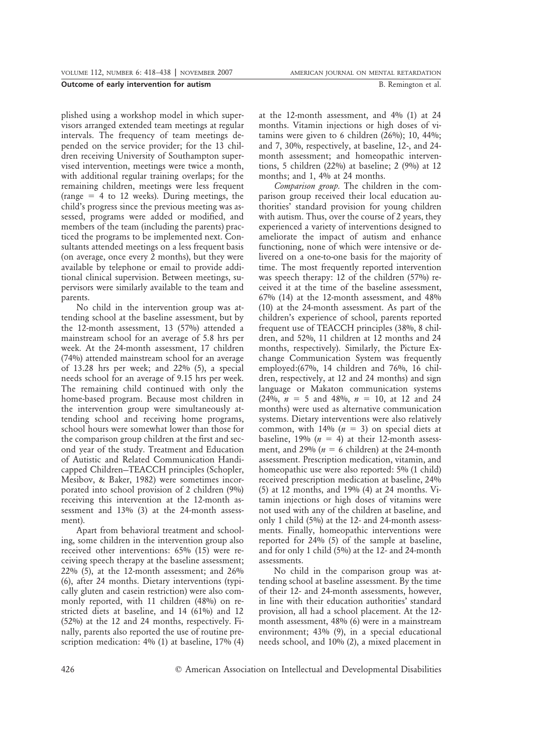plished using a workshop model in which supervisors arranged extended team meetings at regular intervals. The frequency of team meetings depended on the service provider; for the 13 children receiving University of Southampton supervised intervention, meetings were twice a month, with additional regular training overlaps; for the remaining children, meetings were less frequent (range  $= 4$  to 12 weeks). During meetings, the child's progress since the previous meeting was assessed, programs were added or modified, and members of the team (including the parents) practiced the programs to be implemented next. Consultants attended meetings on a less frequent basis (on average, once every 2 months), but they were available by telephone or email to provide additional clinical supervision. Between meetings, supervisors were similarly available to the team and parents.

No child in the intervention group was attending school at the baseline assessment, but by the 12-month assessment, 13 (57%) attended a mainstream school for an average of 5.8 hrs per week. At the 24-month assessment, 17 children (74%) attended mainstream school for an average of 13.28 hrs per week; and 22% (5), a special needs school for an average of 9.15 hrs per week. The remaining child continued with only the home-based program. Because most children in the intervention group were simultaneously attending school and receiving home programs, school hours were somewhat lower than those for the comparison group children at the first and second year of the study. Treatment and Education of Autistic and Related Communication Handicapped Children-TEACCH principles (Schopler, Mesibov, & Baker, 1982) were sometimes incorporated into school provision of 2 children (9%) receiving this intervention at the 12-month assessment and 13% (3) at the 24-month assessment).

Apart from behavioral treatment and schooling, some children in the intervention group also received other interventions: 65% (15) were receiving speech therapy at the baseline assessment; 22% (5), at the 12-month assessment; and 26% (6), after 24 months. Dietary interventions (typically gluten and casein restriction) were also commonly reported, with 11 children (48%) on restricted diets at baseline, and 14 (61%) and 12 (52%) at the 12 and 24 months, respectively. Finally, parents also reported the use of routine prescription medication:  $4\%$  (1) at baseline,  $17\%$  (4) at the 12-month assessment, and 4% (1) at 24 months. Vitamin injections or high doses of vitamins were given to 6 children (26%); 10, 44%; and 7, 30%, respectively, at baseline, 12-, and 24 month assessment; and homeopathic interventions, 5 children (22%) at baseline; 2 (9%) at 12 months; and 1, 4% at 24 months.

*Comparison group.* The children in the comparison group received their local education authorities' standard provision for young children with autism. Thus, over the course of 2 years, they experienced a variety of interventions designed to ameliorate the impact of autism and enhance functioning, none of which were intensive or delivered on a one-to-one basis for the majority of time. The most frequently reported intervention was speech therapy: 12 of the children (57%) received it at the time of the baseline assessment, 67% (14) at the 12-month assessment, and 48% (10) at the 24-month assessment. As part of the children's experience of school, parents reported frequent use of TEACCH principles (38%, 8 children, and 52%, 11 children at 12 months and 24 months, respectively). Similarly, the Picture Exchange Communication System was frequently employed:(67%, 14 children and 76%, 16 children, respectively, at 12 and 24 months) and sign language or Makaton communication systems  $(24\%, n = 5 \text{ and } 48\%, n = 10, \text{ at } 12 \text{ and } 24)$ months) were used as alternative communication systems. Dietary interventions were also relatively common, with  $14\%$  ( $n = 3$ ) on special diets at baseline,  $19\%$  ( $n = 4$ ) at their 12-month assessment, and  $29\%$  ( $n = 6$  children) at the 24-month assessment. Prescription medication, vitamin, and homeopathic use were also reported: 5% (1 child) received prescription medication at baseline, 24% (5) at 12 months, and 19% (4) at 24 months. Vitamin injections or high doses of vitamins were not used with any of the children at baseline, and only 1 child (5%) at the 12- and 24-month assessments. Finally, homeopathic interventions were reported for 24% (5) of the sample at baseline, and for only 1 child (5%) at the 12- and 24-month assessments.

No child in the comparison group was attending school at baseline assessment. By the time of their 12- and 24-month assessments, however, in line with their education authorities' standard provision, all had a school placement. At the 12 month assessment, 48% (6) were in a mainstream environment; 43% (9), in a special educational needs school, and 10% (2), a mixed placement in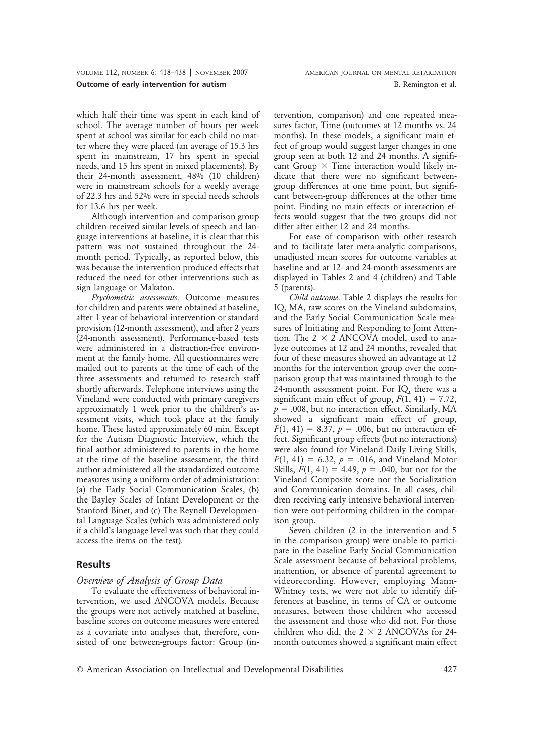which half their time was spent in each kind of school. The average number of hours per week spent at school was similar for each child no matter where they were placed (an average of 15.3 hrs spent in mainstream, 17 hrs spent in special needs, and 15 hrs spent in mixed placements). By their 24-month assessment, 48% (10 children) were in mainstream schools for a weekly average of 22.3 hrs and 52% were in special needs schools for 13.6 hrs per week.

Although intervention and comparison group children received similar levels of speech and language interventions at baseline, it is clear that this pattern was not sustained throughout the 24 month period. Typically, as reported below, this was because the intervention produced effects that reduced the need for other interventions such as sign language or Makaton.

*Psychometric assessments.* Outcome measures for children and parents were obtained at baseline, after 1 year of behavioral intervention or standard provision (12-month assessment), and after 2 years (24-month assessment). Performance-based tests were administered in a distraction-free environment at the family home. All questionnaires were mailed out to parents at the time of each of the three assessments and returned to research staff shortly afterwards. Telephone interviews using the Vineland were conducted with primary caregivers approximately 1 week prior to the children's assessment visits, which took place at the family home. These lasted approximately 60 min. Except for the Autism Diagnostic Interview, which the final author administered to parents in the home at the time of the baseline assessment, the third author administered all the standardized outcome measures using a uniform order of administration: (a) the Early Social Communication Scales, (b) the Bayley Scales of Infant Development or the Stanford Binet, and (c) The Reynell Developmental Language Scales (which was administered only if a child's language level was such that they could access the items on the test).

#### **Results**

*Overview of Analysis of Group Data*

To evaluate the effectiveness of behavioral intervention, we used ANCOVA models. Because the groups were not actively matched at baseline, baseline scores on outcome measures were entered as a covariate into analyses that, therefore, consisted of one between-groups factor: Group (intervention, comparison) and one repeated measures factor, Time (outcomes at 12 months vs. 24 months). In these models, a significant main effect of group would suggest larger changes in one group seen at both 12 and 24 months. A significant Group  $\times$  Time interaction would likely indicate that there were no significant betweengroup differences at one time point, but significant between-group differences at the other time point. Finding no main effects or interaction effects would suggest that the two groups did not differ after either 12 and 24 months.

For ease of comparison with other research and to facilitate later meta-analytic comparisons, unadjusted mean scores for outcome variables at baseline and at 12- and 24-month assessments are displayed in Tables 2 and 4 (children) and Table 5 (parents).

*Child outcome.* Table 2 displays the results for IQ, MA, raw scores on the Vineland subdomains, and the Early Social Communication Scale measures of Initiating and Responding to Joint Attention. The  $2 \times 2$  ANCOVA model, used to analyze outcomes at 12 and 24 months, revealed that four of these measures showed an advantage at 12 months for the intervention group over the comparison group that was maintained through to the 24-month assessment point. For IQ, there was a significant main effect of group,  $F(1, 41) = 7.72$ ,  $p = .008$ , but no interaction effect. Similarly, MA showed a significant main effect of group,  $F(1, 41) = 8.37, p = .006$ , but no interaction effect. Significant group effects (but no interactions) were also found for Vineland Daily Living Skills,  $F(1, 41) = 6.32, p = .016, and Vineland Motor$ Skills,  $F(1, 41) = 4.49$ ,  $p = .040$ , but not for the Vineland Composite score nor the Socialization and Communication domains. In all cases, children receiving early intensive behavioral intervention were out-performing children in the comparison group.

Seven children (2 in the intervention and 5 in the comparison group) were unable to participate in the baseline Early Social Communication Scale assessment because of behavioral problems, inattention, or absence of parental agreement to videorecording. However, employing Mann-Whitney tests, we were not able to identify differences at baseline, in terms of CA or outcome measures, between those children who accessed the assessment and those who did not. For those children who did, the  $2 \times 2$  ANCOVAs for 24month outcomes showed a significant main effect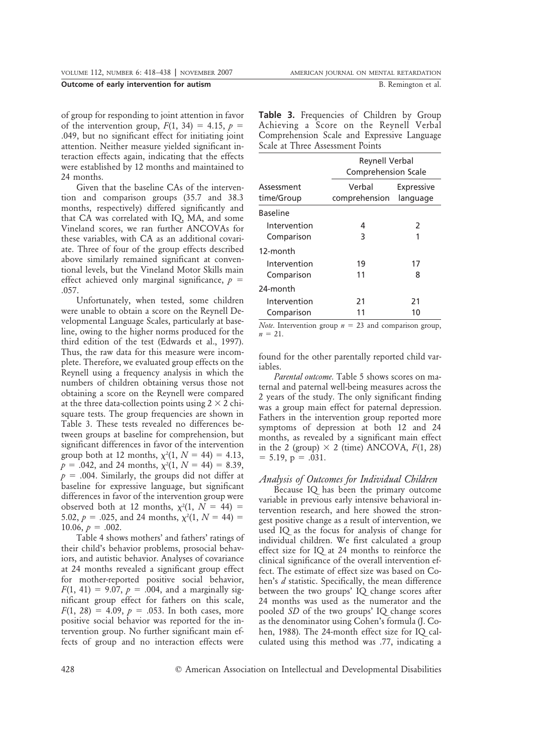of group for responding to joint attention in favor of the intervention group,  $F(1, 34) = 4.15$ ,  $p =$ .049, but no significant effect for initiating joint attention. Neither measure yielded significant interaction effects again, indicating that the effects were established by 12 months and maintained to 24 months.

Given that the baseline CAs of the intervention and comparison groups (35.7 and 38.3 months, respectively) differed significantly and that CA was correlated with IQ, MA, and some Vineland scores, we ran further ANCOVAs for these variables, with CA as an additional covariate. Three of four of the group effects described above similarly remained significant at conventional levels, but the Vineland Motor Skills main effect achieved only marginal significance,  $p =$ .057.

Unfortunately, when tested, some children were unable to obtain a score on the Reynell Developmental Language Scales, particularly at baseline, owing to the higher norms produced for the third edition of the test (Edwards et al., 1997). Thus, the raw data for this measure were incomplete. Therefore, we evaluated group effects on the Reynell using a frequency analysis in which the numbers of children obtaining versus those not obtaining a score on the Reynell were compared at the three data-collection points using  $2 \times 2$  chisquare tests. The group frequencies are shown in Table 3. These tests revealed no differences between groups at baseline for comprehension, but significant differences in favor of the intervention group both at 12 months,  $\chi^2(1, N = 44) = 4.13$ ,  $p = .042$ , and 24 months,  $\chi^2(1, N = 44) = 8.39$ ,  $p = .004$ . Similarly, the groups did not differ at baseline for expressive language, but significant differences in favor of the intervention group were observed both at 12 months,  $\chi^2(1, N = 44)$  = 5.02,  $p = .025$ , and 24 months,  $\chi^2(1, N = 44) =$ 10.06,  $p = .002$ .

Table 4 shows mothers' and fathers' ratings of their child's behavior problems, prosocial behaviors, and autistic behavior. Analyses of covariance at 24 months revealed a significant group effect for mother-reported positive social behavior,  $F(1, 41) = 9.07, p = .004$ , and a marginally significant group effect for fathers on this scale,  $F(1, 28) = 4.09, p = .053$ . In both cases, more positive social behavior was reported for the intervention group. No further significant main effects of group and no interaction effects were

Table 3. Frequencies of Children by Group Achieving a Score on the Reynell Verbal Comprehension Scale and Expressive Language Scale at Three Assessment Points

|                          | Reynell Verbal<br><b>Comprehension Scale</b> |                               |  |  |  |  |  |
|--------------------------|----------------------------------------------|-------------------------------|--|--|--|--|--|
| Assessment<br>time/Group | Verbal<br>comprehension                      | <b>Expressive</b><br>language |  |  |  |  |  |
| <b>Baseline</b>          |                                              |                               |  |  |  |  |  |
| Intervention             | 4                                            | $\mathcal{P}$                 |  |  |  |  |  |
| Comparison               | 3                                            |                               |  |  |  |  |  |
| 12-month                 |                                              |                               |  |  |  |  |  |
| Intervention             | 19                                           | 17                            |  |  |  |  |  |
| Comparison               | 11                                           | 8                             |  |  |  |  |  |
| 24-month                 |                                              |                               |  |  |  |  |  |
| Intervention             | 21                                           | 21                            |  |  |  |  |  |
| Comparison               |                                              | 10                            |  |  |  |  |  |

*Note*. Intervention group  $n = 23$  and comparison group,  $n = 21$ .

found for the other parentally reported child variables.

*Parental outcome.* Table 5 shows scores on maternal and paternal well-being measures across the 2 years of the study. The only significant finding was a group main effect for paternal depression. Fathers in the intervention group reported more symptoms of depression at both 12 and 24 months, as revealed by a significant main effect in the 2 (group)  $\times$  2 (time) ANCOVA,  $F(1, 28)$  $= 5.19$ , p  $= .031$ .

#### *Analysis of Outcomes for Individual Children*

Because IQ has been the primary outcome variable in previous early intensive behavioral intervention research, and here showed the strongest positive change as a result of intervention, we used IQ as the focus for analysis of change for individual children. We first calculated a group effect size for IQ at 24 months to reinforce the clinical significance of the overall intervention effect. The estimate of effect size was based on Cohen's *d* statistic. Specifically, the mean difference between the two groups' IQ change scores after 24 months was used as the numerator and the pooled *SD* of the two groups' IQ change scores as the denominator using Cohen's formula (J. Cohen, 1988). The 24-month effect size for IQ calculated using this method was .77, indicating a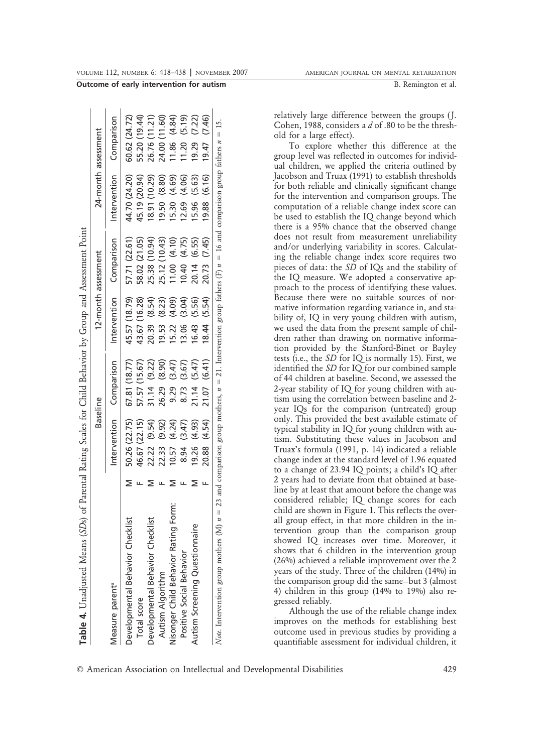|                                                      |               | Baseline |                 |                  | 12-month assessment                                                                                                         | 24-month assessment |                  |
|------------------------------------------------------|---------------|----------|-----------------|------------------|-----------------------------------------------------------------------------------------------------------------------------|---------------------|------------------|
| Measure parent <sup>a</sup>                          | Intervention  |          | Comparison      | Intervention     | Comparison                                                                                                                  | Intervention        | Comparison       |
| Developmental Behavior Checklist                     | 50.26 (22.75) |          | 67.81 (18.77)   | 45.57 (18.79)    | 57.71 (22.61)                                                                                                               | 44.70 (24.20)       | 60.62 (24.72)    |
| Total score                                          | 46.67 (22.15) |          | 57.57 (15.67)   | 43.67 (16.28)    | 58.02 (21.05)                                                                                                               | 45.19 (20.94)       | 55.20 (19.44)    |
| Developmental Behavior Checklist                     | 22.22 (9.54)  |          | 31.14 (9.22)    | 20.39 (8.54)     | 25.38 (10.94)                                                                                                               | 18.91 (10.29)       | 26.76 (11.21)    |
| Autism Algorithm                                     | 22.33 (9.92)  |          | 26.29 (8.90)    | 19.53 (8.23)     | 25.12 (10.43)                                                                                                               | 19.50 (8.80)        | 24.00 (11.60)    |
| Nisonger Child Behavior Rating Form                  | 10.57(4.24)   |          | $9.29$ $(3.47)$ | 15.22 (4.09)     | 11.00 (4.10)                                                                                                                | 15.30 (4.69)        | 11.86 (4.84)     |
| Positive Social Behavior                             | 8.94 (3.47)   |          | 8.73 (3.67)     | $13.06$ $(3.04)$ | 10.40 (4.75)                                                                                                                | (2.69)(4.06)        | $11.20$ $(5.19)$ |
| Autism Screening Questionnaire                       | (4.93)        |          | 21.14 (5.47)    | 16.43 (5.56)     | 20.14 (6.55)                                                                                                                | (5.63)<br>15.96     | 19.29 (7.22)     |
|                                                      | 20.88 (4.54)  |          | 21.07 (6.41)    | 18.44 (5.54)     | 20.73 (7.45)                                                                                                                | 19.88 (6.16)        | (7.46)           |
| <i>Note</i> . Intervention group mothers $(M)$ $n =$ |               |          |                 |                  | 23 and comparison group mothers, $n = 21$ . Intervention group fathers (F) $n = 16$ and comparison group fathers $n = 15$ . |                     |                  |

relatively large difference between the groups ( J. Cohen, 1988, considers a *d* of .80 to be the threshold for a large effect).

To explore whether this difference at the group level was reflected in outcomes for individual children, we applied the criteria outlined by Jacobson and Truax (1991) to establish thresholds for both reliable and clinically significant change for the intervention and comparison groups. The computation of a reliable change index score can be used to establish the IQ change beyond which there is a 95% chance that the observed change does not result from measurement unreliability and/or underlying variability in scores. Calculating the reliable change index score requires two pieces of data: the *SD* of IQs and the stability of the IQ measure. We adopted a conservative approach to the process of identifying these values. Because there were no suitable sources of normative information regarding variance in, and stability of, IQ in very young children with autism, we used the data from the present sample of children rather than drawing on normative information provided by the Stanford-Binet or Bayley tests (i.e., the *SD* for IQ is normally 15). First, we identified the *SD* for IQ for our combined sample of 44 children at baseline. Second, we assessed the 2-year stability of IQ for young children with autism using the correlation between baseline and 2 year IQs for the comparison (untreated) group only. This provided the best available estimate of typical stability in IQ for young children with autism. Substituting these values in Jacobson and Truax's formula (1991, p. 14) indicated a reliable change index at the standard level of 1.96 equated to a change of 23.94 IQ points; a child's IQ after 2 years had to deviate from that obtained at baseline by at least that amount before the change was considered reliable; IQ change scores for each child are shown in Figure 1. This reflects the overall group effect, in that more children in the intervention group than the comparison group showed IQ increases over time. Moreover, it shows that 6 children in the intervention group (26%) achieved a reliable improvement over the 2 years of the study. Three of the children (14%) in the comparison group did the same-but 3 (almost 4) children in this group (14% to 19%) also regressed reliably.

Although the use of the reliable change index improves on the methods for establishing best outcome used in previous studies by providing a quantifiable assessment for individual children, it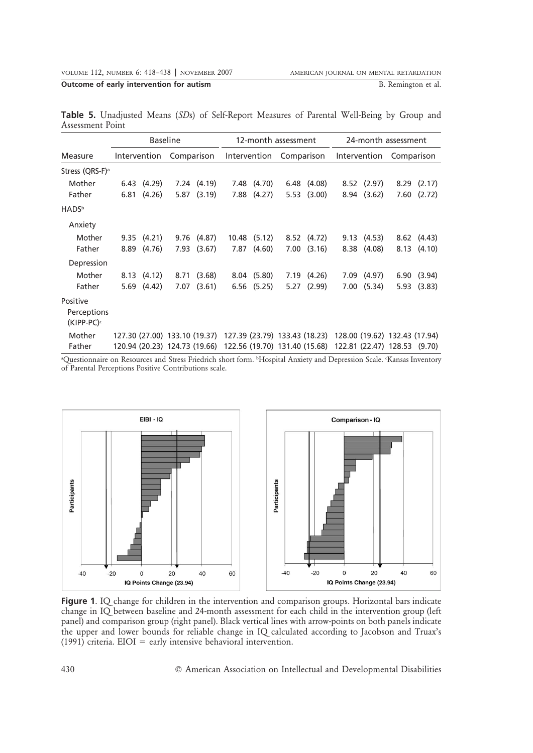|  |                  |  |  |  | <b>Table 5.</b> Unadjusted Means (SDs) of Self-Report Measures of Parental Well-Being by Group and |  |  |
|--|------------------|--|--|--|----------------------------------------------------------------------------------------------------|--|--|
|  | Assessment Point |  |  |  |                                                                                                    |  |  |
|  |                  |  |  |  |                                                                                                    |  |  |

|                             |      |                 | <b>Baseline</b> |                 |      |                 | 12-month assessment     |                 |                                                                                           | 24-month assessment |            |                 |  |  |  |
|-----------------------------|------|-----------------|-----------------|-----------------|------|-----------------|-------------------------|-----------------|-------------------------------------------------------------------------------------------|---------------------|------------|-----------------|--|--|--|
| Measure                     |      | Intervention    | Comparison      |                 |      |                 | Intervention Comparison |                 |                                                                                           | Intervention        | Comparison |                 |  |  |  |
| Stress (QRS-F) <sup>a</sup> |      |                 |                 |                 |      |                 |                         |                 |                                                                                           |                     |            |                 |  |  |  |
| Mother                      |      | 6.43(4.29)      |                 | 7.24(4.19)      |      | 7.48 (4.70)     |                         | $6.48$ $(4.08)$ |                                                                                           | $8.52$ $(2.97)$     |            | $8.29$ $(2.17)$ |  |  |  |
| Father                      |      | $6.81$ $(4.26)$ |                 | $5.87$ $(3.19)$ |      | 7.88 (4.27)     |                         | $5.53$ $(3.00)$ |                                                                                           | 8.94 (3.62)         | 7.60       | (2.72)          |  |  |  |
| <b>HADS</b> b               |      |                 |                 |                 |      |                 |                         |                 |                                                                                           |                     |            |                 |  |  |  |
| Anxiety                     |      |                 |                 |                 |      |                 |                         |                 |                                                                                           |                     |            |                 |  |  |  |
| Mother                      |      | 9.35(4.21)      |                 | $9.76$ $(4.87)$ |      | 10.48 (5.12)    |                         | 8.52 (4.72)     |                                                                                           | 9.13(4.53)          |            | 8.62 (4.43)     |  |  |  |
| Father                      | 8.89 | (4.76)          |                 | $7.93$ $(3.67)$ | 7.87 | (4.60)          |                         | $7.00$ $(3.16)$ |                                                                                           | 8.38 (4.08)         |            | 8.13(4.10)      |  |  |  |
| Depression                  |      |                 |                 |                 |      |                 |                         |                 |                                                                                           |                     |            |                 |  |  |  |
| Mother                      |      | 8.13(4.12)      |                 | 8.71 (3.68)     |      | 8.04 (5.80)     |                         | 7.19(4.26)      |                                                                                           | $7.09$ $(4.97)$     |            | $6.90$ $(3.94)$ |  |  |  |
| Father                      |      | $5.69$ $(4.42)$ |                 | $7.07$ $(3.61)$ |      | $6.56$ $(5.25)$ |                         | $5.27$ $(2.99)$ |                                                                                           | 7.00(5.34)          | 5.93       | (3.83)          |  |  |  |
| Positive                    |      |                 |                 |                 |      |                 |                         |                 |                                                                                           |                     |            |                 |  |  |  |
| Perceptions                 |      |                 |                 |                 |      |                 |                         |                 |                                                                                           |                     |            |                 |  |  |  |
| $(KIPP-PC)$ <sup>c</sup>    |      |                 |                 |                 |      |                 |                         |                 |                                                                                           |                     |            |                 |  |  |  |
| Mother                      |      |                 |                 |                 |      |                 |                         |                 | 127.30 (27.00) 133.10 (19.37) 127.39 (23.79) 133.43 (18.23) 128.00 (19.62) 132.43 (17.94) |                     |            |                 |  |  |  |
| Father                      |      |                 |                 |                 |      |                 |                         |                 | 120.94 (20.23) 124.73 (19.66) 122.56 (19.70) 131.40 (15.68) 122.81 (22.47) 128.53 (9.70)  |                     |            |                 |  |  |  |

a Questionnaire on Resources and Stress Friedrich short form. <sup>b</sup> Hospital Anxiety and Depression Scale. <sup>c</sup> Kansas Inventory of Parental Perceptions Positive Contributions scale.



**Figure 1**. IQ change for children in the intervention and comparison groups. Horizontal bars indicate change in IQ between baseline and 24-month assessment for each child in the intervention group (left panel) and comparison group (right panel). Black vertical lines with arrow-points on both panels indicate the upper and lower bounds for reliable change in IQ calculated according to Jacobson and Truax's  $(1991)$  criteria. EIOI = early intensive behavioral intervention.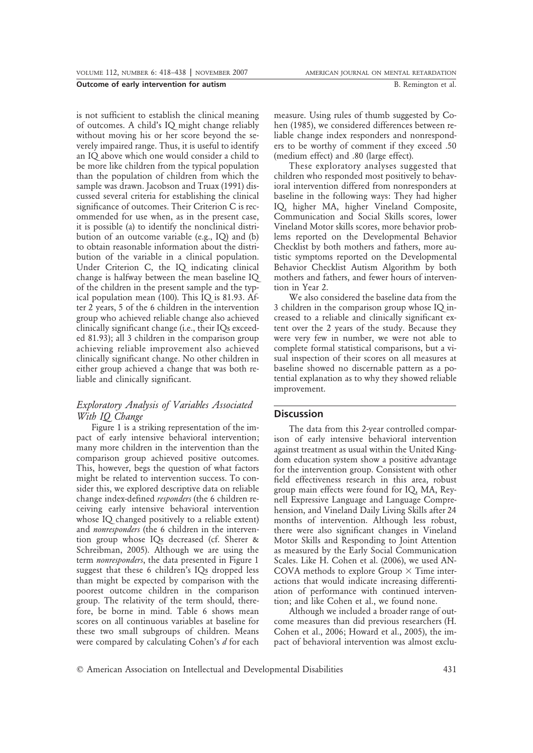is not sufficient to establish the clinical meaning of outcomes. A child's IQ might change reliably without moving his or her score beyond the severely impaired range. Thus, it is useful to identify an IQ above which one would consider a child to be more like children from the typical population than the population of children from which the sample was drawn. Jacobson and Truax (1991) discussed several criteria for establishing the clinical significance of outcomes. Their Criterion C is recommended for use when, as in the present case, it is possible (a) to identify the nonclinical distribution of an outcome variable (e.g., IQ) and (b) to obtain reasonable information about the distribution of the variable in a clinical population. Under Criterion C, the IQ indicating clinical change is halfway between the mean baseline IQ of the children in the present sample and the typical population mean (100). This IQ is 81.93. After 2 years, 5 of the 6 children in the intervention group who achieved reliable change also achieved clinically significant change (i.e., their IQs exceeded 81.93); all 3 children in the comparison group achieving reliable improvement also achieved clinically significant change. No other children in either group achieved a change that was both reliable and clinically significant.

# *Exploratory Analysis of Variables Associated With IQ Change*

Figure 1 is a striking representation of the impact of early intensive behavioral intervention; many more children in the intervention than the comparison group achieved positive outcomes. This, however, begs the question of what factors might be related to intervention success. To consider this, we explored descriptive data on reliable change index-defined *responders* (the 6 children receiving early intensive behavioral intervention whose IQ changed positively to a reliable extent) and *nonresponders* (the 6 children in the intervention group whose IQs decreased (cf. Sherer & Schreibman, 2005). Although we are using the term *nonresponders*, the data presented in Figure 1 suggest that these 6 children's IQs dropped less than might be expected by comparison with the poorest outcome children in the comparison group. The relativity of the term should, therefore, be borne in mind. Table 6 shows mean scores on all continuous variables at baseline for these two small subgroups of children. Means were compared by calculating Cohen's *d* for each

measure. Using rules of thumb suggested by Cohen (1985), we considered differences between reliable change index responders and nonresponders to be worthy of comment if they exceed .50 (medium effect) and .80 (large effect).

These exploratory analyses suggested that children who responded most positively to behavioral intervention differed from nonresponders at baseline in the following ways: They had higher IQ, higher MA, higher Vineland Composite, Communication and Social Skills scores, lower Vineland Motor skills scores, more behavior problems reported on the Developmental Behavior Checklist by both mothers and fathers, more autistic symptoms reported on the Developmental Behavior Checklist Autism Algorithm by both mothers and fathers, and fewer hours of intervention in Year 2.

We also considered the baseline data from the 3 children in the comparison group whose IQ increased to a reliable and clinically significant extent over the 2 years of the study. Because they were very few in number, we were not able to complete formal statistical comparisons, but a visual inspection of their scores on all measures at baseline showed no discernable pattern as a potential explanation as to why they showed reliable improvement.

# **Discussion**

The data from this 2-year controlled comparison of early intensive behavioral intervention against treatment as usual within the United Kingdom education system show a positive advantage for the intervention group. Consistent with other field effectiveness research in this area, robust group main effects were found for IQ, MA, Reynell Expressive Language and Language Comprehension, and Vineland Daily Living Skills after 24 months of intervention. Although less robust, there were also significant changes in Vineland Motor Skills and Responding to Joint Attention as measured by the Early Social Communication Scales. Like H. Cohen et al. (2006), we used AN-COVA methods to explore Group  $\times$  Time interactions that would indicate increasing differentiation of performance with continued intervention; and like Cohen et al., we found none.

Although we included a broader range of outcome measures than did previous researchers (H. Cohen et al., 2006; Howard et al., 2005), the impact of behavioral intervention was almost exclu-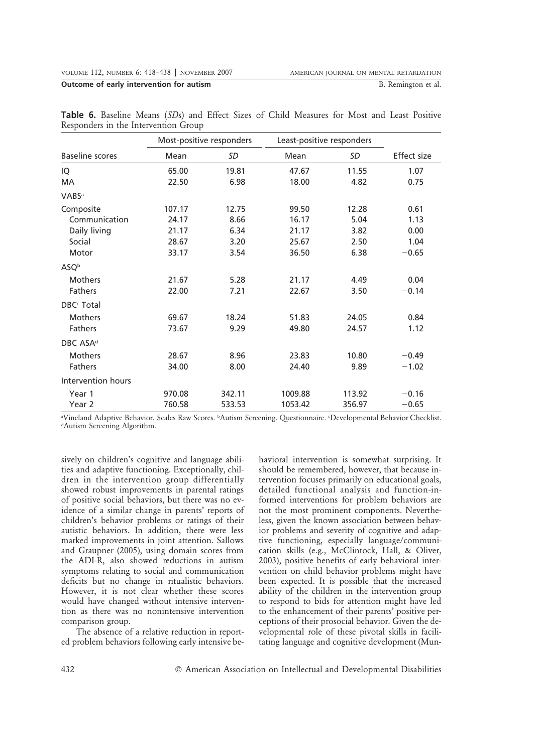|                          |        | Most-positive responders |         | Least-positive responders |                    |  |  |
|--------------------------|--------|--------------------------|---------|---------------------------|--------------------|--|--|
| Baseline scores          | Mean   | SD                       | Mean    | <b>SD</b>                 | <b>Effect size</b> |  |  |
| IQ                       | 65.00  | 19.81                    | 47.67   | 11.55                     | 1.07               |  |  |
| MA                       | 22.50  | 6.98                     | 18.00   | 4.82                      | 0.75               |  |  |
| <b>VABS</b> <sup>a</sup> |        |                          |         |                           |                    |  |  |
| Composite                | 107.17 | 12.75                    | 99.50   | 12.28                     | 0.61               |  |  |
| Communication            | 24.17  | 8.66                     | 16.17   | 5.04                      | 1.13               |  |  |
| Daily living             | 21.17  | 6.34                     | 21.17   | 3.82                      | 0.00               |  |  |
| Social                   | 28.67  | 3.20                     | 25.67   | 2.50                      | 1.04               |  |  |
| Motor                    | 33.17  | 3.54                     | 36.50   | 6.38                      | $-0.65$            |  |  |
| ASQ <sup>b</sup>         |        |                          |         |                           |                    |  |  |
| <b>Mothers</b>           | 21.67  | 5.28                     | 21.17   | 4.49                      | 0.04               |  |  |
| <b>Fathers</b>           | 22.00  | 7.21                     | 22.67   | 3.50                      | $-0.14$            |  |  |
| DBC <sup>c</sup> Total   |        |                          |         |                           |                    |  |  |
| <b>Mothers</b>           | 69.67  | 18.24                    | 51.83   | 24.05                     | 0.84               |  |  |
| <b>Fathers</b>           | 73.67  | 9.29                     | 49.80   | 24.57                     | 1.12               |  |  |
| DBC ASA <sup>d</sup>     |        |                          |         |                           |                    |  |  |
| <b>Mothers</b>           | 28.67  | 8.96                     | 23.83   | 10.80                     | $-0.49$            |  |  |
| <b>Fathers</b>           | 34.00  | 8.00                     | 24.40   | 9.89                      | $-1.02$            |  |  |
| Intervention hours       |        |                          |         |                           |                    |  |  |
| Year 1                   | 970.08 | 342.11                   | 1009.88 | 113.92                    | $-0.16$            |  |  |
| Year 2                   | 760.58 | 533.53                   | 1053.42 | 356.97                    | $-0.65$            |  |  |

**Table 6.** Baseline Means (*SD*s) and Effect Sizes of Child Measures for Most and Least Positive Responders in the Intervention Group

a Vineland Adaptive Behavior. Scales Raw Scores. <sup>b</sup> Autism Screening. Questionnaire. <sup>c</sup> Developmental Behavior Checklist. d Autism Screening Algorithm.

sively on children's cognitive and language abilities and adaptive functioning. Exceptionally, children in the intervention group differentially showed robust improvements in parental ratings of positive social behaviors, but there was no evidence of a similar change in parents' reports of children's behavior problems or ratings of their autistic behaviors. In addition, there were less marked improvements in joint attention. Sallows and Graupner (2005), using domain scores from the ADI-R, also showed reductions in autism symptoms relating to social and communication deficits but no change in ritualistic behaviors. However, it is not clear whether these scores would have changed without intensive intervention as there was no nonintensive intervention comparison group.

The absence of a relative reduction in reported problem behaviors following early intensive behavioral intervention is somewhat surprising. It should be remembered, however, that because intervention focuses primarily on educational goals, detailed functional analysis and function-informed interventions for problem behaviors are not the most prominent components. Nevertheless, given the known association between behavior problems and severity of cognitive and adaptive functioning, especially language/communication skills (e.g., McClintock, Hall, & Oliver, 2003), positive benefits of early behavioral intervention on child behavior problems might have been expected. It is possible that the increased ability of the children in the intervention group to respond to bids for attention might have led to the enhancement of their parents' positive perceptions of their prosocial behavior. Given the developmental role of these pivotal skills in facilitating language and cognitive development (Mun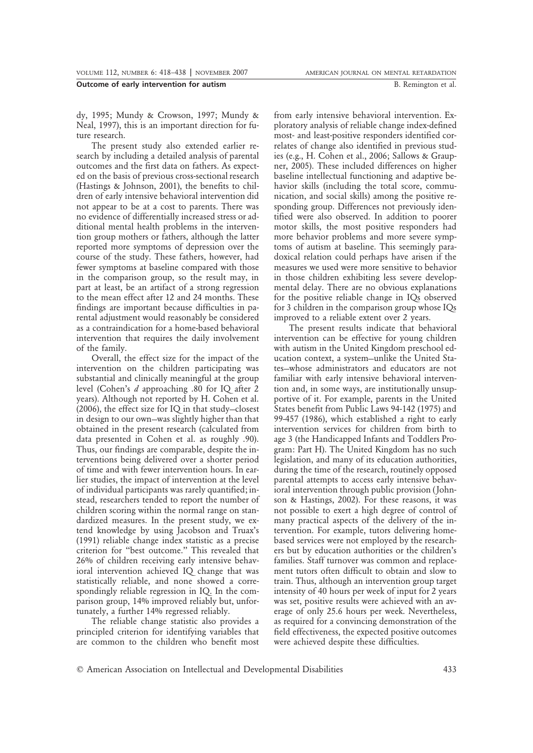dy, 1995; Mundy & Crowson, 1997; Mundy & Neal, 1997), this is an important direction for future research.

The present study also extended earlier research by including a detailed analysis of parental outcomes and the first data on fathers. As expected on the basis of previous cross-sectional research (Hastings & Johnson, 2001), the benefits to children of early intensive behavioral intervention did not appear to be at a cost to parents. There was no evidence of differentially increased stress or additional mental health problems in the intervention group mothers or fathers, although the latter reported more symptoms of depression over the course of the study. These fathers, however, had fewer symptoms at baseline compared with those in the comparison group, so the result may, in part at least, be an artifact of a strong regression to the mean effect after 12 and 24 months. These findings are important because difficulties in parental adjustment would reasonably be considered as a contraindication for a home-based behavioral intervention that requires the daily involvement of the family.

Overall, the effect size for the impact of the intervention on the children participating was substantial and clinically meaningful at the group level (Cohen's *d* approaching .80 for IQ after 2 years). Although not reported by H. Cohen et al.  $(2006)$ , the effect size for IO in that study-closest in design to our own-was slightly higher than that obtained in the present research (calculated from data presented in Cohen et al. as roughly .90). Thus, our findings are comparable, despite the interventions being delivered over a shorter period of time and with fewer intervention hours. In earlier studies, the impact of intervention at the level of individual participants was rarely quantified; instead, researchers tended to report the number of children scoring within the normal range on standardized measures. In the present study, we extend knowledge by using Jacobson and Truax's (1991) reliable change index statistic as a precise criterion for ''best outcome.'' This revealed that 26% of children receiving early intensive behavioral intervention achieved IQ change that was statistically reliable, and none showed a correspondingly reliable regression in IQ. In the comparison group, 14% improved reliably but, unfortunately, a further 14% regressed reliably.

The reliable change statistic also provides a principled criterion for identifying variables that are common to the children who benefit most from early intensive behavioral intervention. Exploratory analysis of reliable change index-defined most- and least-positive responders identified correlates of change also identified in previous studies (e.g., H. Cohen et al., 2006; Sallows & Graupner, 2005). These included differences on higher baseline intellectual functioning and adaptive behavior skills (including the total score, communication, and social skills) among the positive responding group. Differences not previously identified were also observed. In addition to poorer motor skills, the most positive responders had more behavior problems and more severe symptoms of autism at baseline. This seemingly paradoxical relation could perhaps have arisen if the measures we used were more sensitive to behavior in those children exhibiting less severe developmental delay. There are no obvious explanations for the positive reliable change in IQs observed for 3 children in the comparison group whose IQs improved to a reliable extent over 2 years.

The present results indicate that behavioral intervention can be effective for young children with autism in the United Kingdom preschool education context, a system-unlike the United States-whose administrators and educators are not familiar with early intensive behavioral intervention and, in some ways, are institutionally unsupportive of it. For example, parents in the United States benefit from Public Laws 94-142 (1975) and 99-457 (1986), which established a right to early intervention services for children from birth to age 3 (the Handicapped Infants and Toddlers Program: Part H). The United Kingdom has no such legislation, and many of its education authorities, during the time of the research, routinely opposed parental attempts to access early intensive behavioral intervention through public provision (Johnson & Hastings, 2002). For these reasons, it was not possible to exert a high degree of control of many practical aspects of the delivery of the intervention. For example, tutors delivering homebased services were not employed by the researchers but by education authorities or the children's families. Staff turnover was common and replacement tutors often difficult to obtain and slow to train. Thus, although an intervention group target intensity of 40 hours per week of input for 2 years was set, positive results were achieved with an average of only 25.6 hours per week. Nevertheless, as required for a convincing demonstration of the field effectiveness, the expected positive outcomes were achieved despite these difficulties.

<sup>!</sup> American Association on Intellectual and Developmental Disabilities 433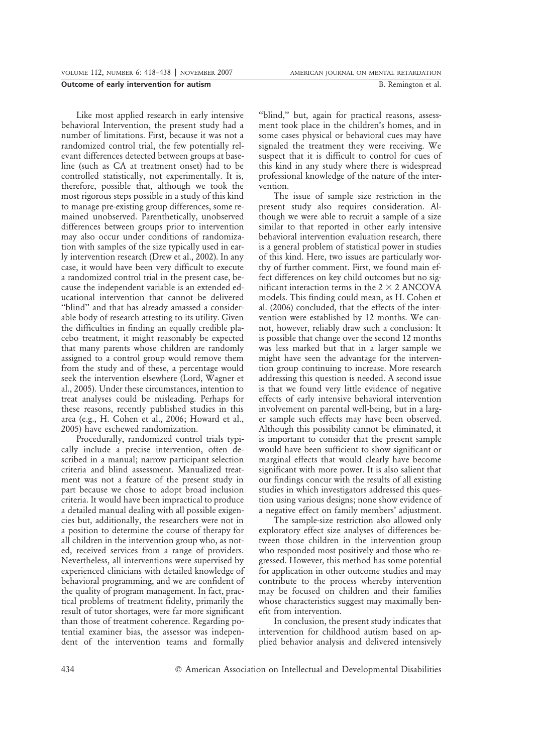Like most applied research in early intensive behavioral Intervention, the present study had a number of limitations. First, because it was not a randomized control trial, the few potentially relevant differences detected between groups at baseline (such as CA at treatment onset) had to be controlled statistically, not experimentally. It is, therefore, possible that, although we took the most rigorous steps possible in a study of this kind to manage pre-existing group differences, some remained unobserved. Parenthetically, unobserved differences between groups prior to intervention may also occur under conditions of randomization with samples of the size typically used in early intervention research (Drew et al., 2002). In any case, it would have been very difficult to execute a randomized control trial in the present case, because the independent variable is an extended educational intervention that cannot be delivered ''blind'' and that has already amassed a considerable body of research attesting to its utility. Given the difficulties in finding an equally credible placebo treatment, it might reasonably be expected that many parents whose children are randomly assigned to a control group would remove them from the study and of these, a percentage would seek the intervention elsewhere (Lord, Wagner et al., 2005). Under these circumstances, intention to treat analyses could be misleading. Perhaps for these reasons, recently published studies in this area (e.g., H. Cohen et al., 2006; Howard et al., 2005) have eschewed randomization.

Procedurally, randomized control trials typically include a precise intervention, often described in a manual; narrow participant selection criteria and blind assessment. Manualized treatment was not a feature of the present study in part because we chose to adopt broad inclusion criteria. It would have been impractical to produce a detailed manual dealing with all possible exigencies but, additionally, the researchers were not in a position to determine the course of therapy for all children in the intervention group who, as noted, received services from a range of providers. Nevertheless, all interventions were supervised by experienced clinicians with detailed knowledge of behavioral programming, and we are confident of the quality of program management. In fact, practical problems of treatment fidelity, primarily the result of tutor shortages, were far more significant than those of treatment coherence. Regarding potential examiner bias, the assessor was independent of the intervention teams and formally "blind," but, again for practical reasons, assessment took place in the children's homes, and in some cases physical or behavioral cues may have signaled the treatment they were receiving. We suspect that it is difficult to control for cues of this kind in any study where there is widespread professional knowledge of the nature of the intervention.

The issue of sample size restriction in the present study also requires consideration. Although we were able to recruit a sample of a size similar to that reported in other early intensive behavioral intervention evaluation research, there is a general problem of statistical power in studies of this kind. Here, two issues are particularly worthy of further comment. First, we found main effect differences on key child outcomes but no significant interaction terms in the  $2 \times 2$  ANCOVA models. This finding could mean, as H. Cohen et al. (2006) concluded, that the effects of the intervention were established by 12 months. We cannot, however, reliably draw such a conclusion: It is possible that change over the second 12 months was less marked but that in a larger sample we might have seen the advantage for the intervention group continuing to increase. More research addressing this question is needed. A second issue is that we found very little evidence of negative effects of early intensive behavioral intervention involvement on parental well-being, but in a larger sample such effects may have been observed. Although this possibility cannot be eliminated, it is important to consider that the present sample would have been sufficient to show significant or marginal effects that would clearly have become significant with more power. It is also salient that our findings concur with the results of all existing studies in which investigators addressed this question using various designs; none show evidence of a negative effect on family members' adjustment.

The sample-size restriction also allowed only exploratory effect size analyses of differences between those children in the intervention group who responded most positively and those who regressed. However, this method has some potential for application in other outcome studies and may contribute to the process whereby intervention may be focused on children and their families whose characteristics suggest may maximally benefit from intervention.

In conclusion, the present study indicates that intervention for childhood autism based on applied behavior analysis and delivered intensively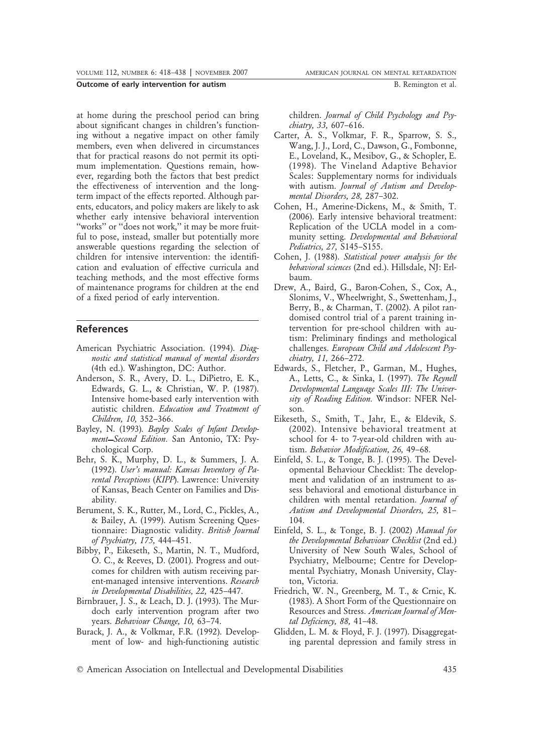at home during the preschool period can bring about significant changes in children's functioning without a negative impact on other family members, even when delivered in circumstances that for practical reasons do not permit its optimum implementation. Questions remain, however, regarding both the factors that best predict the effectiveness of intervention and the longterm impact of the effects reported. Although parents, educators, and policy makers are likely to ask whether early intensive behavioral intervention "works" or "does not work," it may be more fruitful to pose, instead, smaller but potentially more answerable questions regarding the selection of children for intensive intervention: the identification and evaluation of effective curricula and teaching methods, and the most effective forms of maintenance programs for children at the end of a fixed period of early intervention.

## **References**

- American Psychiatric Association. (1994). *Diagnostic and statistical manual of mental disorders* (4th ed.). Washington, DC: Author.
- Anderson, S. R., Avery, D. L., DiPietro, E. K., Edwards, G. L., & Christian, W. P. (1987). Intensive home-based early intervention with autistic children. *Education and Treatment of Children, 10,* 352–366.
- Bayley, N. (1993). *Bayley Scales of Infant Development Second Edition.* San Antonio, TX: Psychological Corp.
- Behr, S. K., Murphy, D. L., & Summers, J. A. (1992). *User's manual: Kansas Inventory of Parental Perceptions* (*KIPP*). Lawrence: University of Kansas, Beach Center on Families and Disability.
- Berument, S. K., Rutter, M., Lord, C., Pickles, A., & Bailey, A. (1999). Autism Screening Questionnaire: Diagnostic validity. *British Journal of Psychiatry, 175,* 444–451.
- Bibby, P., Eikeseth, S., Martin, N. T., Mudford, O. C., & Reeves, D. (2001). Progress and outcomes for children with autism receiving parent-managed intensive interventions. *Research in Developmental Disabilities, 22,* 425–447.
- Birnbrauer, J. S., & Leach, D. J. (1993). The Murdoch early intervention program after two years. *Behaviour Change, 10,* 63–74.
- Burack, J. A., & Volkmar, F.R. (1992). Development of low- and high-functioning autistic

children. *Journal of Child Psychology and Psychiatry, 33,* 607–616.

- Carter, A. S., Volkmar, F. R., Sparrow, S. S., Wang, J. J., Lord, C., Dawson, G., Fombonne, E., Loveland, K., Mesibov, G., & Schopler, E. (1998). The Vineland Adaptive Behavior Scales: Supplementary norms for individuals with autism. *Journal of Autism and Developmental Disorders, 28,* 287–302.
- Cohen, H., Amerine-Dickens, M., & Smith, T. (2006). Early intensive behavioral treatment: Replication of the UCLA model in a community setting. *Developmental and Behavioral Pediatrics, 27,* S145–S155.
- Cohen, J. (1988). *Statistical power analysis for the behavioral sciences* (2nd ed.). Hillsdale, NJ: Erlbaum.
- Drew, A., Baird, G., Baron-Cohen, S., Cox, A., Slonims, V., Wheelwright, S., Swettenham, J., Berry, B., & Charman, T. (2002). A pilot randomised control trial of a parent training intervention for pre-school children with autism: Preliminary findings and methological challenges. *European Child and Adolescent Psychiatry, 11,* 266–272.
- Edwards, S., Fletcher, P., Garman, M., Hughes, A., Letts, C., & Sinka, I. (1997). *The Reynell Developmental Language Scales III: The University of Reading Edition.* Windsor: NFER Nelson.
- Eikeseth, S., Smith, T., Jahr, E., & Eldevik, S. (2002). Intensive behavioral treatment at school for 4- to 7-year-old children with autism. *Behavior Modification, 26,* 49–68.
- Einfeld, S. L., & Tonge, B. J. (1995). The Developmental Behaviour Checklist: The development and validation of an instrument to assess behavioral and emotional disturbance in children with mental retardation. *Journal of Autism and Developmental Disorders, 25,* 81– 104.
- Einfeld, S. L., & Tonge, B. J. (2002) *Manual for the Developmental Behaviour Checklist* (2nd ed.) University of New South Wales, School of Psychiatry, Melbourne; Centre for Developmental Psychiatry, Monash University, Clayton, Victoria.
- Friedrich, W. N., Greenberg, M. T., & Crnic, K. (1983). A Short Form of the Questionnaire on Resources and Stress. *American Journal of Mental Deficiency, 88,* 41–48.
- Glidden, L. M. & Floyd, F. J. (1997). Disaggregating parental depression and family stress in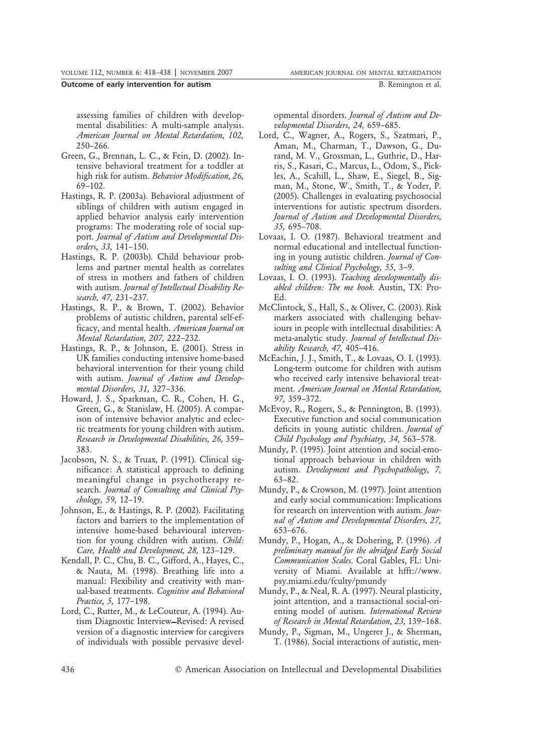assessing families of children with developmental disabilities: A multi-sample analysis. *American Journal on Mental Retardation, 102,* 250–266.

- Green, G., Brennan, L. C., & Fein, D. (2002). Intensive behavioral treatment for a toddler at high risk for autism. *Behavior Modification, 26,* 69–102.
- Hastings, R. P. (2003a). Behavioral adjustment of siblings of children with autism engaged in applied behavior analysis early intervention programs: The moderating role of social support. *Journal of Autism and Developmental Disorders, 33,* 141–150.
- Hastings, R. P. (2003b). Child behaviour problems and partner mental health as correlates of stress in mothers and fathers of children with autism. *Journal of Intellectual Disability Research, 47,* 231–237.
- Hastings, R. P., & Brown, T. (2002). Behavior problems of autistic children, parental self-efficacy, and mental health. *American Journal on Mental Retardation, 207,* 222–232.
- Hastings, R. P., & Johnson, E. (2001). Stress in UK families conducting intensive home-based behavioral intervention for their young child with autism. *Journal of Autism and Developmental Disorders, 31,* 327–336.
- Howard, J. S., Sparkman, C. R., Cohen, H. G., Green, G., & Stanislaw, H. (2005). A comparison of intensive behavior analytic and eclectic treatments for young children with autism. *Research in Developmental Disabilities, 26,* 359– 383.
- Jacobson, N. S., & Truax, P. (1991). Clinical significance: A statistical approach to defining meaningful change in psychotherapy research. *Journal of Consulting and Clinical Psychology, 59,* 12–19.
- Johnson, E., & Hastings, R. P. (2002). Facilitating factors and barriers to the implementation of intensive home-based behavioural intervention for young children with autism. *Child: Care, Health and Development, 28,* 123–129.
- Kendall, P. C., Chu, B. C., Gifford, A., Hayes, C., & Nauta, M. (1998). Breathing life into a manual: Flexibility and creativity with manual-based treatments. *Cognitive and Behavioral Practice, 5,* 177–198.
- Lord, C., Rutter, M., & LeCouteur, A. (1994). Autism Diagnostic Interview-Revised: A revised version of a diagnostic interview for caregivers of individuals with possible pervasive devel-

opmental disorders. *Journal of Autism and Developmental Disorders, 24,* 659–685.

- Lord, C., Wagner, A., Rogers, S., Szatmari, P., Aman, M., Charman, T., Dawson, G., Durand, M. V., Grossman, L., Guthrie, D., Harris, S., Kasari, C., Marcus, L., Odom, S., Pickles, A., Scahill, L., Shaw, E., Siegel, B., Sigman, M., Stone, W., Smith, T., & Yoder, P. (2005). Challenges in evaluating psychosocial interventions for autistic spectrum disorders. *Journal of Autism and Developmental Disorders, 35,* 695–708.
- Lovaas, I. O. (1987). Behavioral treatment and normal educational and intellectual functioning in young autistic children. *Journal of Consulting and Clinical Psychology, 55,* 3–9.
- Lovaas, I. O. (1993). *Teaching developmentally disabled children: The me book.* Austin, TX: Pro-Ed.
- McClintock, S., Hall, S., & Oliver, C. (2003). Risk markers associated with challenging behaviours in people with intellectual disabilities: A meta-analytic study. *Journal of Intellectual Disability Research, 47,* 405–416.
- McEachin, J. J., Smith, T., & Lovaas, O. I. (1993). Long-term outcome for children with autism who received early intensive behavioral treatment. *American Journal on Mental Retardation, 97,* 359–372.
- McEvoy, R., Rogers, S., & Pennington, B. (1993). Executive function and social communication deficits in young autistic children. *Journal of Child Psychology and Psychiatry, 34,* 563–578.
- Mundy, P. (1995). Joint attention and social-emotional approach behaviour in children with autism. *Development and Psychopathology, 7,* 63–82.
- Mundy, P., & Crowson, M. (1997). Joint attention and early social communication: Implications for research on intervention with autism. *Journal of Autism and Developmental Disorders, 27,* 653–676.
- Mundy, P., Hogan, A., & Dohering, P. (1996). *A preliminary manual for the abridged Early Social Communication Scales.* Coral Gables, FL: University of Miami. Available at hfft://www. psy.miami.edu/fculty/pmundy
- Mundy, P., & Neal, R. A. (1997). Neural plasticity, joint attention, and a transactional social-orienting model of autism. *International Review of Research in Mental Retardation, 23,* 139–168.
- Mundy, P., Sigman, M., Ungerer J., & Sherman, T. (1986). Social interactions of autistic, men-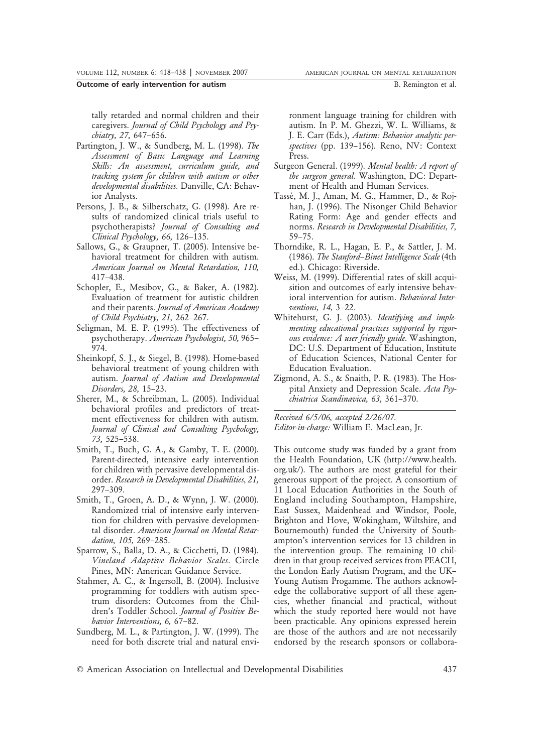tally retarded and normal children and their caregivers. *Journal of Child Psychology and Psychiatry, 27,* 647–656.

- Partington, J. W., & Sundberg, M. L. (1998). *The Assessment of Basic Language and Learning Skills: An assessment, curriculum guide, and tracking system for children with autism or other developmental disabilities.* Danville, CA: Behavior Analysts.
- Persons, J. B., & Silberschatz, G. (1998). Are results of randomized clinical trials useful to psychotherapists? *Journal of Consulting and Clinical Psychology, 66,* 126–135.
- Sallows, G., & Graupner, T. (2005). Intensive behavioral treatment for children with autism. *American Journal on Mental Retardation, 110,* 417–438.
- Schopler, E., Mesibov, G., & Baker, A. (1982). Evaluation of treatment for autistic children and their parents. *Journal of American Academy of Child Psychiatry, 21,* 262–267.
- Seligman, M. E. P. (1995). The effectiveness of psychotherapy. *American Psychologist, 50,* 965– 974.
- Sheinkopf, S. J., & Siegel, B. (1998). Home-based behavioral treatment of young children with autism. *Journal of Autism and Developmental Disorders, 28,* 15–23.
- Sherer, M., & Schreibman, L. (2005). Individual behavioral profiles and predictors of treatment effectiveness for children with autism. *Journal of Clinical and Consulting Psychology, 73,* 525–538.
- Smith, T., Buch, G. A., & Gamby, T. E. (2000). Parent-directed, intensive early intervention for children with pervasive developmental disorder. *Research in Developmental Disabilities, 21,* 297–309.
- Smith, T., Groen, A. D., & Wynn, J. W. (2000). Randomized trial of intensive early intervention for children with pervasive developmental disorder. *American Journal on Mental Retardation, 105,* 269–285.
- Sparrow, S., Balla, D. A., & Cicchetti, D. (1984). *Vineland Adaptive Behavior Scales.* Circle Pines, MN: American Guidance Service.
- Stahmer, A. C., & Ingersoll, B. (2004). Inclusive programming for toddlers with autism spectrum disorders: Outcomes from the Children's Toddler School. *Journal of Positive Behavior Interventions, 6,* 67–82.
- Sundberg, M. L., & Partington, J. W. (1999). The need for both discrete trial and natural envi-

ronment language training for children with autism. In P. M. Ghezzi, W. L. Williams, & J. E. Carr (Eds.), *Autism: Behavior analytic perspectives* (pp. 139–156). Reno, NV: Context Press.

- Surgeon General. (1999). *Mental health: A report of the surgeon general.* Washington, DC: Department of Health and Human Services.
- Tassé, M. J., Aman, M. G., Hammer, D., & Rojhan, J. (1996). The Nisonger Child Behavior Rating Form: Age and gender effects and norms. *Research in Developmental Disabilities, 7,* 59–75.
- Thorndike, R. L., Hagan, E. P., & Sattler, J. M. (1986). *The Stanford–Binet Intelligence Scale* (4th ed.). Chicago: Riverside.
- Weiss, M. (1999). Differential rates of skill acquisition and outcomes of early intensive behavioral intervention for autism. *Behavioral Interventions, 14,* 3–22.
- Whitehurst, G. J. (2003). *Identifying and implementing educational practices supported by rigorous evidence: A user friendly guide.* Washington, DC: U.S. Department of Education, Institute of Education Sciences, National Center for Education Evaluation.
- Zigmond, A. S., & Snaith, P. R. (1983). The Hospital Anxiety and Depression Scale. *Acta Psychiatrica Scandinavica, 63,* 361–370.

*Received 6/5/06, accepted 2/26/07. Editor-in-charge:* William E. MacLean, Jr.

This outcome study was funded by a grant from the Health Foundation, UK (http://www.health. org.uk/). The authors are most grateful for their generous support of the project. A consortium of 11 Local Education Authorities in the South of England including Southampton, Hampshire, East Sussex, Maidenhead and Windsor, Poole, Brighton and Hove, Wokingham, Wiltshire, and Bournemouth) funded the University of Southampton's intervention services for 13 children in the intervention group. The remaining 10 children in that group received services from PEACH, the London Early Autism Program, and the UK– Young Autism Progamme. The authors acknowledge the collaborative support of all these agencies, whether financial and practical, without which the study reported here would not have been practicable. Any opinions expressed herein are those of the authors and are not necessarily endorsed by the research sponsors or collabora-

<sup>!</sup> American Association on Intellectual and Developmental Disabilities 437